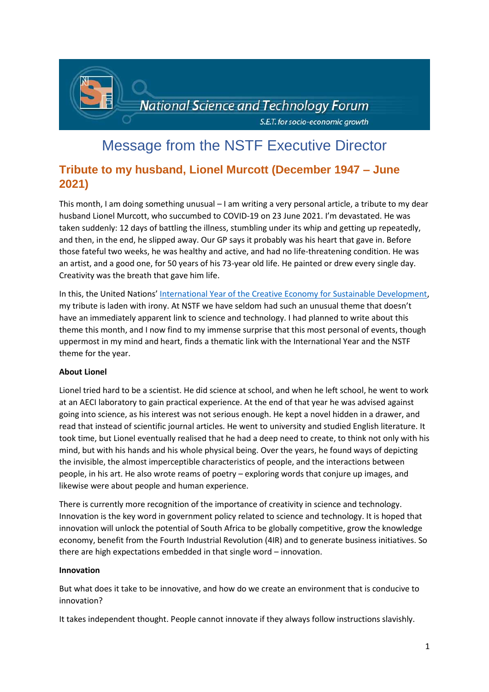

# Message from the NSTF Executive Director

# **Tribute to my husband, Lionel Murcott (December 1947 – June 2021)**

This month, I am doing something unusual – I am writing a very personal article, a tribute to my dear husband Lionel Murcott, who succumbed to COVID-19 on 23 June 2021. I'm devastated. He was taken suddenly: 12 days of battling the illness, stumbling under its whip and getting up repeatedly, and then, in the end, he slipped away. Our GP says it probably was his heart that gave in. Before those fateful two weeks, he was healthy and active, and had no life-threatening condition. He was an artist, and a good one, for 50 years of his 73-year old life. He painted or drew every single day. Creativity was the breath that gave him life.

In this, the United Nations' [International Year of the Creative Economy for Sustainable Development,](https://unctad.org/topic/trade-analysis/creative-economy-programme/2021-year-of-the-creative-economy) my tribute is laden with irony. At NSTF we have seldom had such an unusual theme that doesn't have an immediately apparent link to science and technology. I had planned to write about this theme this month, and I now find to my immense surprise that this most personal of events, though uppermost in my mind and heart, finds a thematic link with the International Year and the NSTF theme for the year.

# **About Lionel**

Lionel tried hard to be a scientist. He did science at school, and when he left school, he went to work at an AECI laboratory to gain practical experience. At the end of that year he was advised against going into science, as his interest was not serious enough. He kept a novel hidden in a drawer, and read that instead of scientific journal articles. He went to university and studied English literature. It took time, but Lionel eventually realised that he had a deep need to create, to think not only with his mind, but with his hands and his whole physical being. Over the years, he found ways of depicting the invisible, the almost imperceptible characteristics of people, and the interactions between people, in his art. He also wrote reams of poetry – exploring words that conjure up images, and likewise were about people and human experience.

There is currently more recognition of the importance of creativity in science and technology. Innovation is the key word in government policy related to science and technology. It is hoped that innovation will unlock the potential of South Africa to be globally competitive, grow the knowledge economy, benefit from the Fourth Industrial Revolution (4IR) and to generate business initiatives. So there are high expectations embedded in that single word – innovation.

#### **Innovation**

But what does it take to be innovative, and how do we create an environment that is conducive to innovation?

It takes independent thought. People cannot innovate if they always follow instructions slavishly.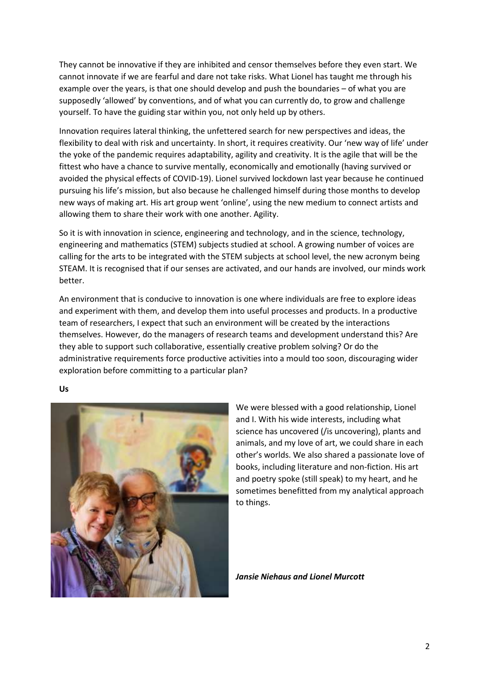They cannot be innovative if they are inhibited and censor themselves before they even start. We cannot innovate if we are fearful and dare not take risks. What Lionel has taught me through his example over the years, is that one should develop and push the boundaries – of what you are supposedly 'allowed' by conventions, and of what you can currently do, to grow and challenge yourself. To have the guiding star within you, not only held up by others.

Innovation requires lateral thinking, the unfettered search for new perspectives and ideas, the flexibility to deal with risk and uncertainty. In short, it requires creativity. Our 'new way of life' under the yoke of the pandemic requires adaptability, agility and creativity. It is the agile that will be the fittest who have a chance to survive mentally, economically and emotionally (having survived or avoided the physical effects of COVID-19). Lionel survived lockdown last year because he continued pursuing his life's mission, but also because he challenged himself during those months to develop new ways of making art. His art group went 'online', using the new medium to connect artists and allowing them to share their work with one another. Agility.

So it is with innovation in science, engineering and technology, and in the science, technology, engineering and mathematics (STEM) subjects studied at school. A growing number of voices are calling for the arts to be integrated with the STEM subjects at school level, the new acronym being STEAM. It is recognised that if our senses are activated, and our hands are involved, our minds work better.

An environment that is conducive to innovation is one where individuals are free to explore ideas and experiment with them, and develop them into useful processes and products. In a productive team of researchers, I expect that such an environment will be created by the interactions themselves. However, do the managers of research teams and development understand this? Are they able to support such collaborative, essentially creative problem solving? Or do the administrative requirements force productive activities into a mould too soon, discouraging wider exploration before committing to a particular plan?

**Us**



We were blessed with a good relationship, Lionel and I. With his wide interests, including what science has uncovered (/is uncovering), plants and animals, and my love of art, we could share in each other's worlds. We also shared a passionate love of books, including literature and non-fiction. His art and poetry spoke (still speak) to my heart, and he sometimes benefitted from my analytical approach to things.

*Jansie Niehaus and Lionel Murcott*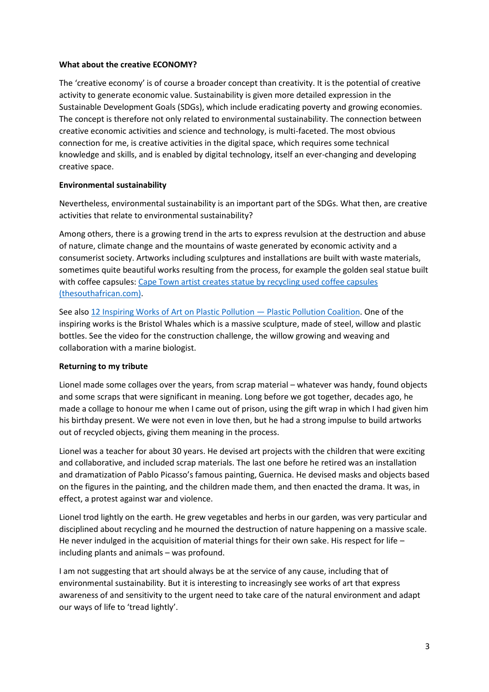## **What about the creative ECONOMY?**

The 'creative economy' is of course a broader concept than creativity. It is the potential of creative activity to generate economic value. Sustainability is given more detailed expression in the Sustainable Development Goals (SDGs), which include eradicating poverty and growing economies. The concept is therefore not only related to environmental sustainability. The connection between creative economic activities and science and technology, is multi-faceted. The most obvious connection for me, is creative activities in the digital space, which requires some technical knowledge and skills, and is enabled by digital technology, itself an ever-changing and developing creative space.

## **Environmental sustainability**

Nevertheless, environmental sustainability is an important part of the SDGs. What then, are creative activities that relate to environmental sustainability?

Among others, there is a growing trend in the arts to express revulsion at the destruction and abuse of nature, climate change and the mountains of waste generated by economic activity and a consumerist society. Artworks including sculptures and installations are built with waste materials, sometimes quite beautiful works resulting from the process, for example the golden seal statue built with coffee capsules[: Cape Town artist creates statue by recycling used coffee capsules](https://www.thesouthafrican.com/lifestyle/art-artists/table-bay-hotel-capsule-statue-godfrey-dambuleni/)  [\(thesouthafrican.com\).](https://www.thesouthafrican.com/lifestyle/art-artists/table-bay-hotel-capsule-statue-godfrey-dambuleni/)

See also [12 Inspiring Works of Art on Plastic Pollution](https://www.plasticpollutioncoalition.org/blog/2017/5/2/10-inspiring-works-of-art-about-plastic-pollution) — Plastic Pollution Coalition. One of the inspiring works is the Bristol Whales which is a massive sculpture, made of steel, willow and plastic bottles. See the video for the construction challenge, the willow growing and weaving and collaboration with a marine biologist.

# **Returning to my tribute**

Lionel made some collages over the years, from scrap material – whatever was handy, found objects and some scraps that were significant in meaning. Long before we got together, decades ago, he made a collage to honour me when I came out of prison, using the gift wrap in which I had given him his birthday present. We were not even in love then, but he had a strong impulse to build artworks out of recycled objects, giving them meaning in the process.

Lionel was a teacher for about 30 years. He devised art projects with the children that were exciting and collaborative, and included scrap materials. The last one before he retired was an installation and dramatization of Pablo Picasso's famous painting, Guernica. He devised masks and objects based on the figures in the painting, and the children made them, and then enacted the drama. It was, in effect, a protest against war and violence.

Lionel trod lightly on the earth. He grew vegetables and herbs in our garden, was very particular and disciplined about recycling and he mourned the destruction of nature happening on a massive scale. He never indulged in the acquisition of material things for their own sake. His respect for life – including plants and animals – was profound.

I am not suggesting that art should always be at the service of any cause, including that of environmental sustainability. But it is interesting to increasingly see works of art that express awareness of and sensitivity to the urgent need to take care of the natural environment and adapt our ways of life to 'tread lightly'.